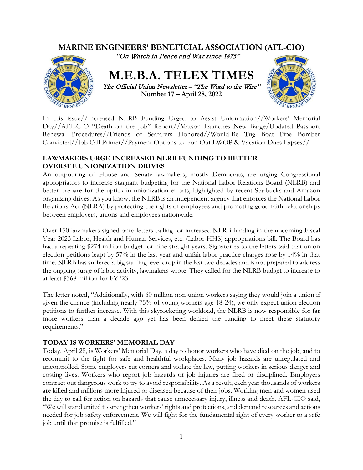

In this issue//Increased NLRB Funding Urged to Assist Unionization//Workers' Memorial Day//AFL-CIO "Death on the Job" Report//Matson Launches New Barge/Updated Passport Renewal Procedures//Friends of Seafarers Honored//Would-Be Tug Boat Pipe Bomber Convicted//Job Call Primer//Payment Options to Iron Out LWOP & Vacation Dues Lapses//

### **LAWMAKERS URGE INCREASED NLRB FUNDING TO BETTER OVERSEE UNIONIZATION DRIVES**

An outpouring of House and Senate lawmakers, mostly Democrats, are urging Congressional appropriators to increase stagnant budgeting for the National Labor Relations Board (NLRB) and better prepare for the uptick in unionization efforts, highlighted by recent Starbucks and Amazon organizing drives. As you know, the NLRB is an independent agency that enforces the National Labor Relations Act (NLRA) by protecting the rights of employees and promoting good faith relationships between employers, unions and employees nationwide.

Over 150 lawmakers signed onto letters calling for increased NLRB funding in the upcoming Fiscal Year 2023 Labor, Health and Human Services, etc. (Labor-HHS) appropriations bill. The Board has had a repeating \$274 million budget for nine straight years. Signatories to the letters said that union election petitions leapt by 57% in the last year and unfair labor practice charges rose by 14% in that time. NLRB has suffered a big staffing level drop in the last two decades and is not prepared to address the ongoing surge of labor activity, lawmakers wrote. They called for the NLRB budget to increase to at least \$368 million for FY '23.

The letter noted, "Additionally, with 60 million non-union workers saying they would join a union if given the chance (including nearly 75% of young workers age 18-24), we only expect union election petitions to further increase. With this skyrocketing workload, the NLRB is now responsible for far more workers than a decade ago yet has been denied the funding to meet these statutory requirements."

# **TODAY IS WORKERS' MEMORIAL DAY**

Today, April 28, is Workers' Memorial Day, a day to honor workers who have died on the job, and to recommit to the fight for safe and healthful workplaces. Many job hazards are unregulated and uncontrolled. Some employers cut corners and violate the law, putting workers in serious danger and costing lives. Workers who report job hazards or job injuries are fired or disciplined. Employers contract out dangerous work to try to avoid responsibility. As a result, each year thousands of workers are killed and millions more injured or diseased because of their jobs. Working men and women used the day to call for action on hazards that cause unnecessary injury, illness and death. AFL-CIO said, "We will stand united to strengthen workers' rights and protections, and demand resources and actions needed for job safety enforcement. We will fight for the fundamental right of every worker to a safe job until that promise is fulfilled."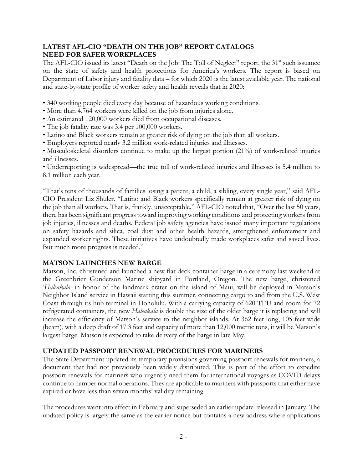# **LATEST AFL-CIO "DEATH ON THE JOB" REPORT CATALOGS NEED FOR SAFER WORKPLACES**

The AFL-CIO issued its latest "Death on the Job: The Toll of Neglect" report, the  $31<sup>st</sup>$  such issuance on the state of safety and health protections for America's workers. The report is based on Department of Labor injury and fatality data – for which 2020 is the latest available year. The national and state-by-state profile of worker safety and health reveals that in 2020:

- 340 working people died every day because of hazardous working conditions.
- More than 4,764 workers were killed on the job from injuries alone.
- An estimated 120,000 workers died from occupational diseases.
- The job fatality rate was 3.4 per 100,000 workers.
- Latino and Black workers remain at greater risk of dying on the job than all workers.
- Employers reported nearly 3.2 million work-related injuries and illnesses.

• Musculoskeletal disorders continue to make up the largest portion (21%) of work-related injuries and illnesses.

• Underreporting is widespread—the true toll of work-related injuries and illnesses is 5.4 million to 8.1 million each year.

"That's tens of thousands of families losing a parent, a child, a sibling, every single year," said AFL-CIO President Liz Shuler. "Latino and Black workers specifically remain at greater risk of dying on the job than all workers. That is, frankly, unacceptable." AFL-CIO noted that, "Over the last 50 years, there has been significant progress toward improving working conditions and protecting workers from job injuries, illnesses and deaths. Federal job safety agencies have issued many important regulations on safety hazards and silica, coal dust and other health hazards, strengthened enforcement and expanded worker rights. These initiatives have undoubtedly made workplaces safer and saved lives. But much more progress is needed."

# **MATSON LAUNCHES NEW BARGE**

Matson, Inc. christened and launched a new flat-deck container barge in a ceremony last weekend at the Greenbrier Gunderson Marine shipyard in Portland, Oregon. The new barge, christened '*Haleakala'* in honor of the landmark crater on the island of Maui, will be deployed in Matson's Neighbor Island service in Hawaii starting this summer, connecting cargo to and from the U.S. West Coast through its hub terminal in Honolulu. With a carrying capacity of 620 TEU and room for 72 refrigerated containers, the new *Haleakala* is double the size of the older barge it is replacing and will increase the efficiency of Matson's service to the neighbor islands. At 362 feet long, 105 feet wide (beam), with a deep draft of 17.3 feet and capacity of more than 12,000 metric tons, it will be Matson's largest barge. Matson is expected to take delivery of the barge in late May.

# **UPDATED PASSPORT RENEWAL PROCEDURES FOR MARINERS**

The State Department updated its temporary provisions governing passport renewals for mariners, a document that had not previously been widely distributed. This is part of the effort to expedite passport renewals for mariners who urgently need them for international voyages as COVID delays continue to hamper normal operations. They are applicable to mariners with passports that either have expired or have less than seven months' validity remaining.

The procedures went into effect in February and superseded an earlier update released in January. The updated policy is largely the same as the earlier notice but contains a new address where applications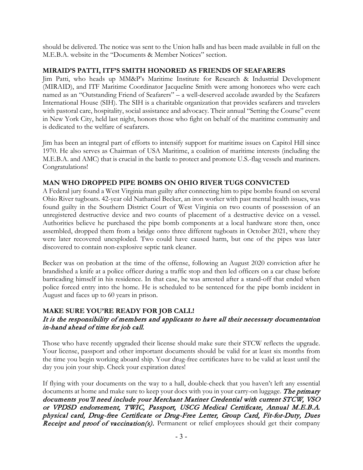should be delivered. The notice was sent to the Union halls and has been made available in full on the M.E.B.A. website in the "Documents & Member Notices" section.

#### **MIRAID'S PATTI, ITF'S SMITH HONORED AS FRIENDS OF SEAFARERS**

Jim Patti, who heads up MM&P's Maritime Institute for Research & Industrial Development (MIRAID), and ITF Maritime Coordinator Jacqueline Smith were among honorees who were each named as an "Outstanding Friend of Seafarers" – a well-deserved accolade awarded by the Seafarers International House (SIH). The SIH is a charitable organization that provides seafarers and travelers with pastoral care, hospitality, social assistance and advocacy. Their annual "Setting the Course" event in New York City, held last night, honors those who fight on behalf of the maritime community and is dedicated to the welfare of seafarers.

Jim has been an integral part of efforts to intensify support for maritime issues on Capitol Hill since 1970. He also serves as Chairman of USA Maritime, a coalition of maritime interests (including the M.E.B.A. and AMC) that is crucial in the battle to protect and promote U.S.-flag vessels and mariners. Congratulations!

### **MAN WHO DROPPED PIPE BOMBS ON OHIO RIVER TUGS CONVICTED**

A Federal jury found a West Virginia man guilty after connecting him to pipe bombs found on several Ohio River tugboats. 42-year old Nathaniel Becker, an iron worker with past mental health issues, was found guilty in the Southern District Court of West Virginia on two counts of possession of an unregistered destructive device and two counts of placement of a destructive device on a vessel. Authorities believe he purchased the pipe bomb components at a local hardware store then, once assembled, dropped them from a bridge onto three different tugboats in October 2021, where they were later recovered unexploded. Two could have caused harm, but one of the pipes was later discovered to contain non-explosive septic tank cleaner.

Becker was on probation at the time of the offense, following an August 2020 conviction after he brandished a knife at a police officer during a traffic stop and then led officers on a car chase before barricading himself in his residence. In that case, he was arrested after a stand-off that ended when police forced entry into the home. He is scheduled to be sentenced for the pipe bomb incident in August and faces up to 60 years in prison.

### **MAKE SURE YOU'RE READY FOR JOB CALL!** It is the responsibility of members and applicants to have all their necessary documentation in-hand ahead of time for job call.

Those who have recently upgraded their license should make sure their STCW reflects the upgrade. Your license, passport and other important documents should be valid for at least six months from the time you begin working aboard ship. Your drug-free certificates have to be valid at least until the day you join your ship. Check your expiration dates!

If flying with your documents on the way to a hall, double-check that you haven't left any essential documents at home and make sure to keep your docs with you in your carry-on luggage. The primary documents you'll need include your Merchant Mariner Credential with current STCW, VSO or VPDSD endorsement, TWIC, Passport, USCG Medical Certificate, Annual M.E.B.A. physical card, Drug-free Certificate or Drug-Free Letter, Group Card, Fit-for-Duty, Dues Receipt and proof of vaccination(s). Permanent or relief employees should get their company